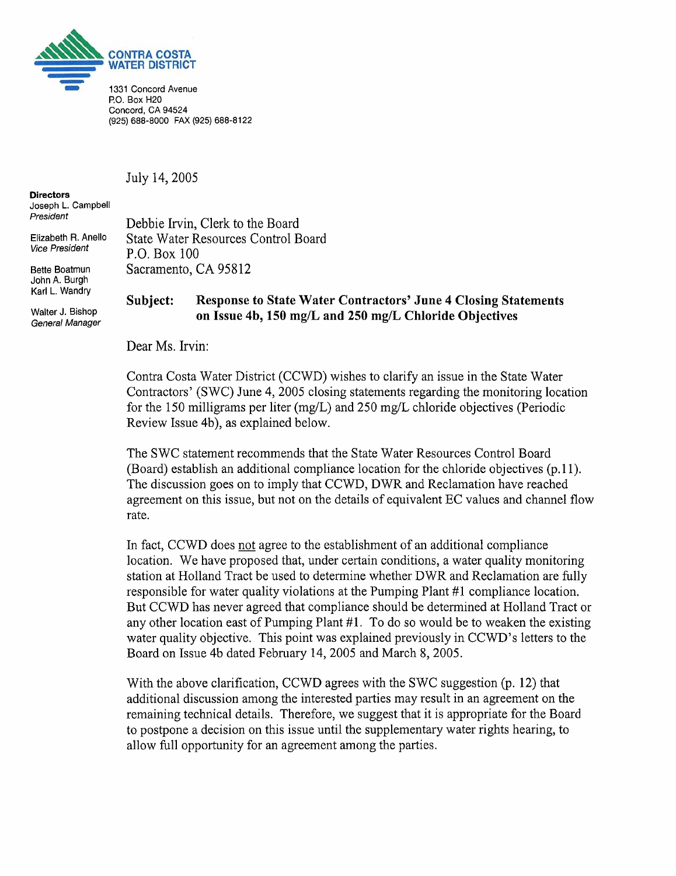

Concord, CA **94524 (925) 688-8000** FAX **(925) 688-8122** 

July 14,2005

**Directors**  Joseph L. Campbell<br>President

John A. Burgh Karl L. Wandry

Walter J. Bishop General Manager

Debbie Irvin, Clerk to the Board Elizabeth R. Anello State Water Resources Control Board<br>Vice President  $R_{\text{R}}$  R C R = 100 P.O. Box  $100$ Bette Boatmun Sacramento, CA 95812

## **Subject: Response to State Water Contractors' June 4 Closing Statements on Issue 4b, 150 mg/L and 250 mg/L Chloride Objectives**

Dear Ms. Irvin:

Contra Costa Water District (CCWD) wishes to clarify an issue in the State Water Contractors' (SWC) June 4,2005 closing statements regarding the monitoring location for the 150 milligrams per liter (mg/L) and 250 mg/L chloride objectives (Periodic Review Issue 4b), as explained below.

The SWC statement recommends that the State Water Resources Control Board (Board) establish an additional compliance location for the chloride objectives (p. 1 I). The discussion goes on to imply that CCWD, DWR and Reclamation have reached agreement on this issue, but not on the details of equivalent EC values and channel flow rate.

In fact, CCWD does not agree to the establishment of an additional compliance location. We have proposed that, under certain conditions, a water quality monitoring station at Holland Tract be used to determine whether DWR and Reclamation are fully responsible for water quality violations at the Pumping Plant #I compliance location. But CCWD has never agreed that compliance should be determined at Holland Tract or any other location east of Pumping Plant #I. To do so would be to weaken the existing water quality objective. This point was explained previously in CCWD's letters to the Board on Issue 4b dated February 14,2005 and March 8,2005.

With the above clarification, CCWD agrees with the SWC suggestion (p. 12) that additional discussion among the interested parties may result in an agreement on the remaining technical details. Therefore, we suggest that it is appropriate for the Board to postpone a decision on this issue until the supplementary water rights hearing, to allow full opportunity for an agreement among the parties.